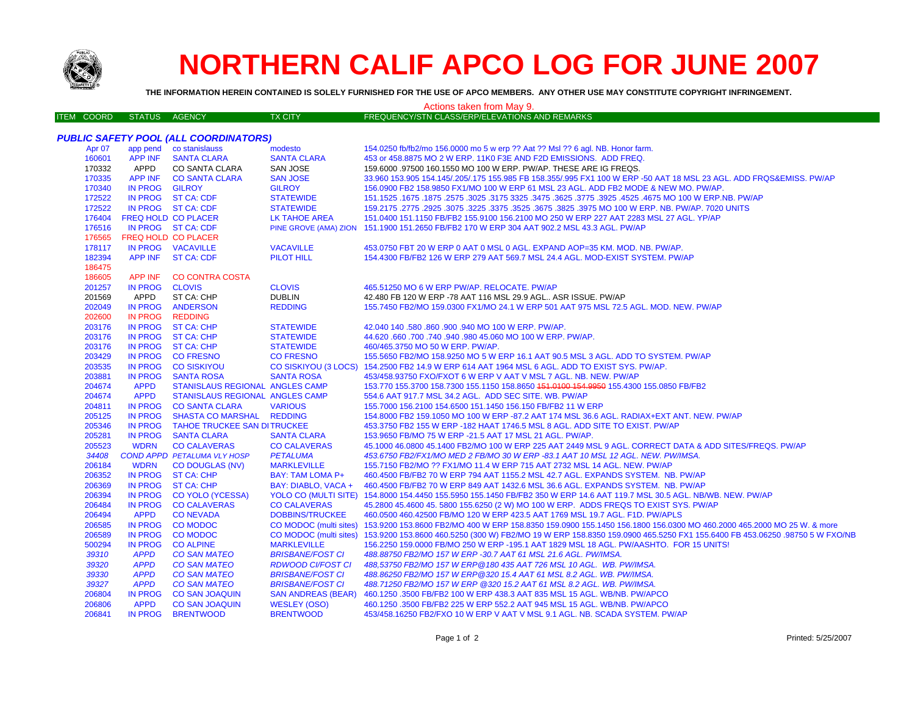

206369

206394

206484

206494

206585

206589

500294

39310

39320

39330

39327

206804

206806 206841 IN PROG ST CA: CHP

CO YOLO (YCESSA)

**CO CALAVERAS** 

**MARKLEVILLE** 

**DOBBINS/TRUCKEE** 

**BRISBANE/FOST CI** 

**BRISBANE/FOST CI** 

**BRISBANE/FOST CI** 

**WESLEY (OSO)** 

**BRENTWOOD** 

**RDWOOD CI/FOST CI** 

**SAN ANDREAS (BEAR)** 

CO MODOC (multi sites)

**CO CALAVERAS** 

**CO SAN MATEO** 

**CO SAN MATEO** 

**CO SAN MATEO** 

**CO SAN MATEO** 

**CO SAN JOAQUIN** 

**CO SAN JOAQUIN** 

**BRENTWOOD** 

**CONEVADA** 

**CO MODOC** 

**CO MODOC** 

**CO ALPINE** 

IN PROG

**IN PROG** 

**APPD** 

**IN PROG** 

**IN PROG** 

**IN PROG** 

**APPD** 

**APPD** 

**APPD** 

**APPD** 

**IN PROG** 

**APPD** 

**IN PROG** 

## **NORTHERN CALIF APCO LOG FOR JUNE 2007**

| <b>CEAFETY OF</b>         | THE INFORMATION HEREIN CONTAINED IS SOLELY FURNISHED FOR THE USE OF APCO MEMBERS. ANY OTHER USE MAY CONSTITUTE COPYRIGHT INFRINGEMENT. |                                              |                         |                                                                                                                     |  |  |  |
|---------------------------|----------------------------------------------------------------------------------------------------------------------------------------|----------------------------------------------|-------------------------|---------------------------------------------------------------------------------------------------------------------|--|--|--|
| Actions taken from May 9. |                                                                                                                                        |                                              |                         |                                                                                                                     |  |  |  |
| <b>ITEM COORD</b>         | <b>STATUS</b>                                                                                                                          | AGENCY                                       | <b>TX CITY</b>          | FREQUENCY/STN CLASS/ERP/ELEVATIONS AND REMARKS                                                                      |  |  |  |
|                           |                                                                                                                                        |                                              |                         |                                                                                                                     |  |  |  |
|                           |                                                                                                                                        | <b>PUBLIC SAFETY POOL (ALL COORDINATORS)</b> |                         |                                                                                                                     |  |  |  |
| Apr 07                    |                                                                                                                                        | app pend co stanislauss                      | modesto                 | 154.0250 fb/fb2/mo 156.0000 mo 5 w erp ?? Aat ?? Msl ?? 6 agl. NB. Honor farm.                                      |  |  |  |
| 160601                    |                                                                                                                                        | APP INF SANTA CLARA                          | <b>SANTA CLARA</b>      | 453 or 458,8875 MO 2 W ERP, 11K0 F3E AND F2D EMISSIONS. ADD FREQ.                                                   |  |  |  |
| 170332                    | APPD                                                                                                                                   | CO SANTA CLARA                               | SAN JOSE                | 159,6000 .97500 160,1550 MO 100 W ERP, PW/AP, THESE ARE IG FREQS.                                                   |  |  |  |
| 170335                    |                                                                                                                                        | APP INF CO SANTA CLARA                       | <b>SAN JOSE</b>         | 33.960 153.905 154.145/.205/.175 155.985 FB 158.355/.995 FX1 100 W ERP -50 AAT 18 MSL 23 AGL, ADD FRQS&EMISS, PW/AP |  |  |  |
| 170340                    | IN PROG GILROY                                                                                                                         |                                              | <b>GILROY</b>           | 156.0900 FB2 158.9850 FX1/MO 100 W ERP 61 MSL 23 AGL. ADD FB2 MODE & NEW MO. PW/AP.                                 |  |  |  |
| 172522                    |                                                                                                                                        | IN PROG ST CA: CDF                           | <b>STATEWIDE</b>        | 151.1525 .1675 .1675 .3625 .3775 .3925 .3925 .3925 .3775 .3925 .3775 .3925 .4525 .1675 .1679 .1679 .1679 .167       |  |  |  |
| 172522                    |                                                                                                                                        | IN PROG ST CA: CDF                           | <b>STATEWIDE</b>        | 159.2175 .2775 .2925 .3075 .3225 .3775 .3625 .3675 .3825 .3975 MO 100 W ERP. NB. PW/AP. 7020 UNITS                  |  |  |  |
| 176404                    |                                                                                                                                        | FREQ HOLD CO PLACER                          | <b>LK TAHOE AREA</b>    | 151,0400 151,1150 FB/FB2 155,9100 156,2100 MO 250 W ERP 227 AAT 2283 MSL 27 AGL, YP/AP                              |  |  |  |
| 176516                    |                                                                                                                                        | IN PROG ST CA: CDF                           |                         | PINE GROVE (AMA) ZION 151.1900 151.2650 FB/FB2 170 W ERP 304 AAT 902.2 MSL 43.3 AGL. PW/AP                          |  |  |  |
| 176565                    |                                                                                                                                        | FREQ HOLD CO PLACER                          |                         |                                                                                                                     |  |  |  |
| 178117                    |                                                                                                                                        | IN PROG VACAVILLE                            | <b>VACAVILLE</b>        | 453.0750 FBT 20 W ERP 0 AAT 0 MSL 0 AGL. EXPAND AOP=35 KM, MOD, NB, PW/AP,                                          |  |  |  |
| 182394                    |                                                                                                                                        | APP INF ST CA: CDF                           | PILOT HILL              | 154,4300 FB/FB2 126 W ERP 279 AAT 569.7 MSL 24.4 AGL, MOD-EXIST SYSTEM, PW/AP                                       |  |  |  |
| 186475                    |                                                                                                                                        |                                              |                         |                                                                                                                     |  |  |  |
| 186605                    |                                                                                                                                        | APP INF CO CONTRA COSTA                      |                         |                                                                                                                     |  |  |  |
| 201257                    | IN PROG CLOVIS                                                                                                                         |                                              | <b>CLOVIS</b>           | 465.51250 MO 6 W ERP PW/AP, RELOCATE, PW/AP                                                                         |  |  |  |
| 201569                    | APPD                                                                                                                                   | ST CA: CHP                                   | <b>DUBLIN</b>           | 42,480 FB 120 W ERP -78 AAT 116 MSL 29.9 AGL., ASR ISSUE, PW/AP                                                     |  |  |  |
| 202049                    |                                                                                                                                        | IN PROG ANDERSON                             | <b>REDDING</b>          | 155,7450 FB2/MO 159,0300 FX1/MO 24.1 W ERP 501 AAT 975 MSL 72.5 AGL, MOD, NEW, PW/AP                                |  |  |  |
| 202600                    | IN PROG REDDING                                                                                                                        |                                              |                         |                                                                                                                     |  |  |  |
| 203176                    |                                                                                                                                        | IN PROG ST CA: CHP                           | <b>STATEWIDE</b>        | 42.040 140 .580 .860 .900 .940 MO 100 W ERP. PW/AP.                                                                 |  |  |  |
| 203176                    |                                                                                                                                        | IN PROG ST CA: CHP                           | <b>STATEWIDE</b>        | 44.620 .660 .700 .740 .940 .980 45.060 MO 100 W ERP. PW/AP.                                                         |  |  |  |
| 203176                    |                                                                                                                                        | IN PROG ST CA: CHP                           | <b>STATEWIDE</b>        | 460/465.3750 MO 50 W ERP. PW/AP.                                                                                    |  |  |  |
| 203429                    |                                                                                                                                        | IN PROG CO FRESNO                            | <b>CO FRESNO</b>        | 155,5650 FB2/MO 158,9250 MO 5 W ERP 16.1 AAT 90.5 MSL 3 AGL, ADD TO SYSTEM, PW/AP                                   |  |  |  |
| 203535                    |                                                                                                                                        | IN PROG CO SISKIYOU                          |                         | CO SISKIYOU (3 LOCS) 154.2500 FB2 14.9 W ERP 614 AAT 1964 MSL 6 AGL. ADD TO EXIST SYS. PW/AP.                       |  |  |  |
| 203881                    |                                                                                                                                        | IN PROG SANTA ROSA                           | <b>SANTA ROSA</b>       | 453/458.93750 FXO/FXOT 6 W ERP V AAT V MSL 7 AGL, NB, NEW, PW/AP                                                    |  |  |  |
| 204674                    | <b>APPD</b>                                                                                                                            | STANISLAUS REGIONAL ANGLES CAMP              |                         | 153.770 155.3700 158.7300 155.1150 158.8650 151.0100 154.9950 155.4300 155.0850 FB/FB2                              |  |  |  |
| 204674                    | <b>APPD</b>                                                                                                                            | STANISLAUS REGIONAL ANGLES CAMP              |                         | 554.6 AAT 917.7 MSL 34.2 AGL. ADD SEC SITE, WB, PW/AP                                                               |  |  |  |
| 204811                    |                                                                                                                                        | IN PROG CO SANTA CLARA                       | <b>VARIOUS</b>          | 155.7000 156.2100 154.6500 151.1450 156.150 FB/FB2 11 W ERP                                                         |  |  |  |
| 205125                    |                                                                                                                                        | IN PROG SHASTA CO MARSHAL REDDING            |                         | 154.8000 FB2 159.1050 MO 100 W ERP -87.2 AAT 174 MSL 36.6 AGL. RADIAX+EXT ANT. NEW. PW/AP                           |  |  |  |
| 205346                    |                                                                                                                                        | IN PROG TAHOE TRUCKEE SAN DITRUCKEE          |                         | 453.3750 FB2 155 W ERP -182 HAAT 1746.5 MSL 8 AGL, ADD SITE TO EXIST, PW/AP                                         |  |  |  |
| 205281                    |                                                                                                                                        | IN PROG SANTA CLARA                          | <b>SANTA CLARA</b>      | 153.9650 FB/MO 75 W ERP -21.5 AAT 17 MSL 21 AGL. PW/AP.                                                             |  |  |  |
| 205523                    | <b>WDRN</b>                                                                                                                            | <b>CO CALAVERAS</b>                          | <b>CO CALAVERAS</b>     | 45,1000 46,0800 45,1400 FB2/MO 100 W ERP 225 AAT 2449 MSL 9 AGL, CORRECT DATA & ADD SITES/FREQS, PW/AP              |  |  |  |
| 34408                     |                                                                                                                                        | <b>COND APPD PETALUMA VLY HOSP</b>           | <b>PETALUMA</b>         | 453.6750 FB2/FX1/MO MED 2 FB/MO 30 W ERP -83.1 AAT 10 MSL 12 AGL. NEW. PW/IMSA.                                     |  |  |  |
| 206184                    | <b>WDRN</b>                                                                                                                            | <b>CO DOUGLAS (NV)</b>                       | <b>MARKLEVILLE</b>      | 155.7150 FB2/MO ?? FX1/MO 11.4 W ERP 715 AAT 2732 MSL 14 AGL, NEW, PW/AP                                            |  |  |  |
| 206352                    |                                                                                                                                        | IN PROG ST CA: CHP                           | <b>BAY: TAM LOMA P+</b> | 460.4500 FB/FB2 70 W ERP 794 AAT 1155.2 MSL 42.7 AGL. EXPANDS SYSTEM. NB. PW/AP                                     |  |  |  |

BAY: DIABLO, VACA + 460.4500 FB/FB2 70 W ERP 849 AAT 1432.6 MSL 36.6 AGL. EXPANDS SYSTEM. NB. PW/AP

488.88750 FB2/MO 157 W ERP -30.7 AAT 61 MSL 21.6 AGL. PW/IMSA.

488,53750 FB2/MO 157 W ERP @180 435 AAT 726 MSL 10 AGL. WB. PW/IMSA.

488.86250 FB2/MO 157 W ERP @320 15.4 AAT 61 MSL 8.2 AGL, WB, PW/IMSA.

488.71250 FB2/MO 157 W ERP @320 15.2 AAT 61 MSL 8.2 AGL, WB, PW/IMSA

460.1250 .3500 FB/FB2 100 W ERP 438.3 AAT 835 MSL 15 AGL, WB/NB, PW/APCO

460.1250 .3500 FB/FB2 225 W ERP 552.2 AAT 945 MSL 15 AGL. WB/NB. PW/APCO

453/458.16250 FB2/FXO 10 W ERP V AAT V MSL 9.1 AGL. NB. SCADA SYSTEM. PW/AP

YOLO CO (MULTI SITE) 154.8000 154.4450 155.5950 155.1450 FB/FB2 350 W ERP 14.6 AAT 119.7 MSL 30.5 AGL. NB/WB, NEW, PW/AP

460.0500 460.42500 FB/MO 120 W ERP 423.5 AAT 1769 MSL 19.7 AGL. F1D. PW/APLS

45.2800 45.4600 45. 5800 155.6250 (2 W) MO 100 W ERP. ADDS FREQS TO EXIST SYS. PW/AP

CO MODOC (multi sites) 153.9200 153.8600 FB2/MO 400 W ERP 158.8350 159.0900 155.1450 156.1800 156.0300 MO 460.2000 465.2000 MO 25 W. & more

156.2250 159.0000 FB/MO 250 W ERP -195.1 AAT 1829 MSL 18 AGL. PW/AASHTO. FOR 15 UNITS!

153.9200 153.8600 460.5250 (300 W) FB2/MO 19 W ERP 158.8350 159.0900 465.5250 FX1 155.6400 FB 453.06250 .98750 5 W FXO/NB